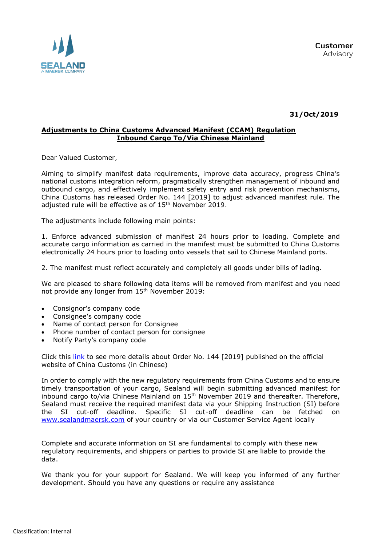

**31/Oct/2019**

## **Adjustments to China Customs Advanced Manifest (CCAM) Regulation Inbound Cargo To/Via Chinese Mainland**

Dear Valued Customer,

Aiming to simplify manifest data requirements, improve data accuracy, progress China's national customs integration reform, pragmatically strengthen management of inbound and outbound cargo, and effectively implement safety entry and risk prevention mechanisms, China Customs has released Order No. 144 [2019] to adjust advanced manifest rule. The adjusted rule will be effective as of  $15<sup>th</sup>$  November 2019.

The adjustments include following main points:

1. Enforce advanced submission of manifest 24 hours prior to loading. Complete and accurate cargo information as carried in the manifest must be submitted to China Customs electronically 24 hours prior to loading onto vessels that sail to Chinese Mainland ports.

2. The manifest must reflect accurately and completely all goods under bills of lading.

We are pleased to share following data items will be removed from manifest and you need not provide any longer from 15<sup>th</sup> November 2019:

- Consignor's company code
- Consignee's company code
- Name of contact person for Consignee
- Phone number of contact person for consignee
- Notify Party's company code

Click this [link](http://www.customs.gov.cn/customs/302249/302266/302267/2604301/index.html) to see more details about Order No. 144 [2019] published on the official website of China Customs (in Chinese)

In order to comply with the new regulatory requirements from China Customs and to ensure timely transportation of your cargo, Sealand will begin submitting advanced manifest for inbound cargo to/via Chinese Mainland on  $15<sup>th</sup>$  November 2019 and thereafter. Therefore, Sealand must receive the required manifest data via your Shipping Instruction (SI) before the SI cut-off deadline. Specific SI cut-off deadline can be fetched on [www.sealandmaersk.com](http://www.sealandmaersk.com/) of your country or via our Customer Service Agent locally

Complete and accurate information on SI are fundamental to comply with these new regulatory requirements, and shippers or parties to provide SI are liable to provide the data.

We thank you for your support for Sealand. We will keep you informed of any further development. Should you have any questions or require any assistance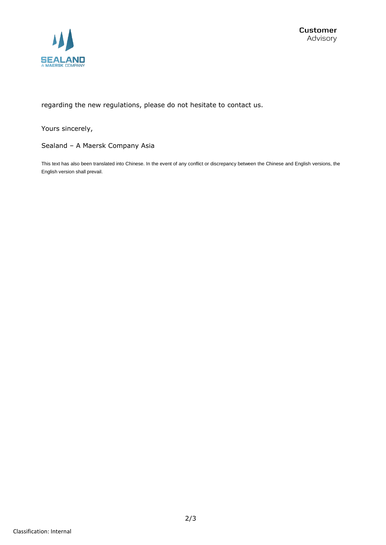

regarding the new regulations, please do not hesitate to contact us.

Yours sincerely,

Sealand – A Maersk Company Asia

This text has also been translated into Chinese. In the event of any conflict or discrepancy between the Chinese and English versions, the English version shall prevail.